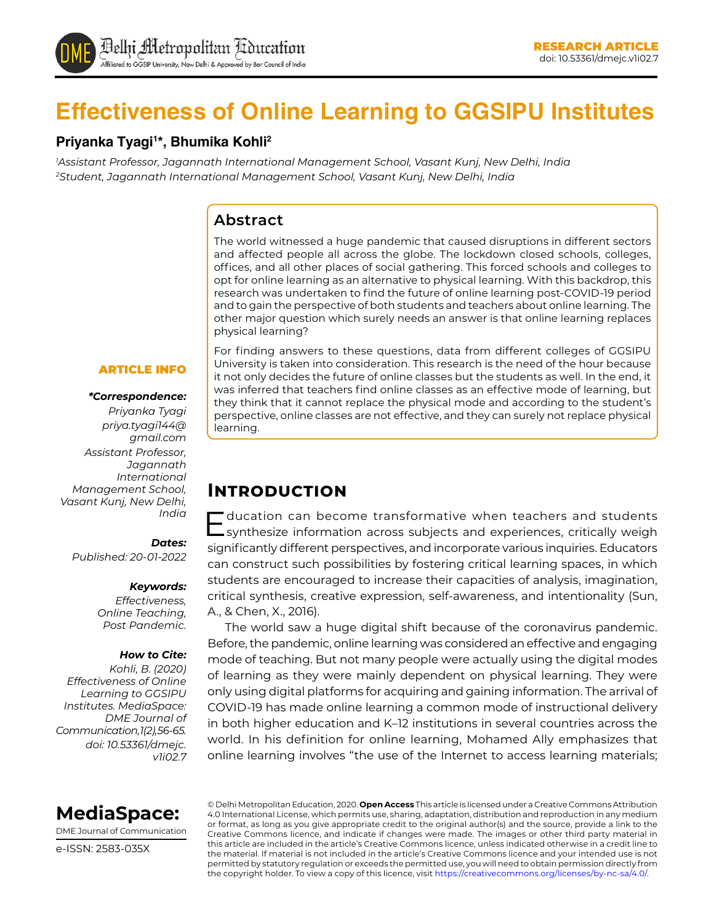

# **Effectiveness of Online Learning to GGSIPU Institutes**

## **Priyanka Tyagi1 \*, Bhumika Kohli2**

*1 Assistant Professor, Jagannath International Management School, Vasant Kunj, New Delhi, India 2 Student, Jagannath International Management School, Vasant Kunj, New Delhi, India*

## **Abstract**

The world witnessed a huge pandemic that caused disruptions in different sectors and affected people all across the globe. The lockdown closed schools, colleges, offices, and all other places of social gathering. This forced schools and colleges to opt for online learning as an alternative to physical learning. With this backdrop, this research was undertaken to find the future of online learning post-COVID-19 period and to gain the perspective of both students and teachers about online learning. The other major question which surely needs an answer is that online learning replaces physical learning?

#### ARTICLE INFO

#### *\*Correspondence:*

*Priyanka Tyagi priya.tyagi144@ gmail.com Assistant Professor, Jagannath International Management School, Vasant Kunj, New Delhi, India*

#### *Dates:*

*Published: 20-01-2022*

#### *Keywords:*

*Effectiveness, Online Teaching, Post Pandemic.*

#### *How to Cite:*

*Kohli, B. (2020) Effectiveness of Online Learning to GGSIPU Institutes. MediaSpace: DME Journal of Communication, 1(2), 56-65. doi: 10.53361/dmejc. v1i02.7* For finding answers to these questions, data from different colleges of GGSIPU University is taken into consideration. This research is the need of the hour because it not only decides the future of online classes but the students as well. In the end, it was inferred that teachers find online classes as an effective mode of learning, but they think that it cannot replace the physical mode and according to the student's perspective, online classes are not effective, and they can surely not replace physical learning.

## **Introduction**

Education can become transformative when teachers and students synthesize information across subjects and experiences, critically weigh significantly different perspectives, and incorporate various inquiries. Educators can construct such possibilities by fostering critical learning spaces, in which students are encouraged to increase their capacities of analysis, imagination, critical synthesis, creative expression, self-awareness, and intentionality (Sun, A., & Chen, X., 2016).

The world saw a huge digital shift because of the coronavirus pandemic. Before, the pandemic, online learning was considered an effective and engaging mode of teaching. But not many people were actually using the digital modes of learning as they were mainly dependent on physical learning. They were only using digital platforms for acquiring and gaining information. The arrival of COVID-19 has made online learning a common mode of instructional delivery in both higher education and K–12 institutions in several countries across the world. In his definition for online learning, Mohamed Ally emphasizes that online learning involves "the use of the Internet to access learning materials;



DME Journal of Communication

e-ISSN: 2583-035X

© Delhi Metropolitan Education, 2020. **Open Access** This article is licensed under a Creative Commons Attribution 4.0 International License, which permits use, sharing, adaptation, distribution and reproduction in any medium or format, as long as you give appropriate credit to the original author(s) and the source, provide a link to the Creative Commons licence, and indicate if changes were made. The images or other third party material in this article are included in the article's Creative Commons licence, unless indicated otherwise in a credit line to the material. If material is not included in the article's Creative Commons licence and your intended use is not permitted by statutory regulation or exceeds the permitted use, you will need to obtain permission directly from the copyright holder. To view a copy of this licence, visit https://creativecommons.org/licenses/by-nc-sa/4.0/.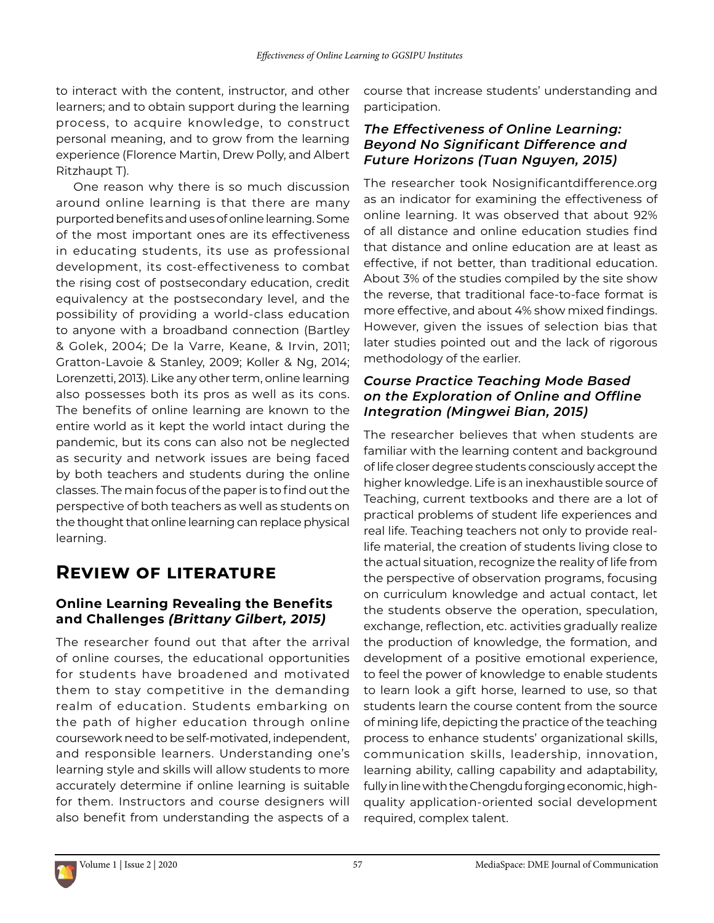to interact with the content, instructor, and other learners; and to obtain support during the learning process, to acquire knowledge, to construct personal meaning, and to grow from the learning experience (Florence Martin, Drew Polly, and Albert Ritzhaupt T).

One reason why there is so much discussion around online learning is that there are many purported benefits and uses of online learning. Some of the most important ones are its effectiveness in educating students, its use as professional development, its cost-effectiveness to combat the rising cost of postsecondary education, credit equivalency at the postsecondary level, and the possibility of providing a world-class education to anyone with a broadband connection (Bartley & Golek, 2004; De la Varre, Keane, & Irvin, 2011; Gratton-Lavoie & Stanley, 2009; Koller & Ng, 2014; Lorenzetti, 2013). Like any other term, online learning also possesses both its pros as well as its cons. The benefits of online learning are known to the entire world as it kept the world intact during the pandemic, but its cons can also not be neglected as security and network issues are being faced by both teachers and students during the online classes. The main focus of the paper is to find out the perspective of both teachers as well as students on the thought that online learning can replace physical learning.

# **Review of literature**

## **Online Learning Revealing the Benefits and Challenges** *(Brittany Gilbert, 2015)*

The researcher found out that after the arrival of online courses, the educational opportunities for students have broadened and motivated them to stay competitive in the demanding realm of education. Students embarking on the path of higher education through online coursework need to be self-motivated, independent, and responsible learners. Understanding one's learning style and skills will allow students to more accurately determine if online learning is suitable for them. Instructors and course designers will also benefit from understanding the aspects of a

course that increase students' understanding and participation.

#### *The Effectiveness of Online Learning: Beyond No Significant Difference and Future Horizons (Tuan Nguyen, 2015)*

The researcher took Nosignificantdifference.org as an indicator for examining the effectiveness of online learning. It was observed that about 92% of all distance and online education studies find that distance and online education are at least as effective, if not better, than traditional education. About 3% of the studies compiled by the site show the reverse, that traditional face-to-face format is more effective, and about 4% show mixed findings. However, given the issues of selection bias that later studies pointed out and the lack of rigorous methodology of the earlier.

#### *Course Practice Teaching Mode Based on the Exploration of Online and Offline Integration (Mingwei Bian, 2015)*

The researcher believes that when students are familiar with the learning content and background of life closer degree students consciously accept the higher knowledge. Life is an inexhaustible source of Teaching, current textbooks and there are a lot of practical problems of student life experiences and real life. Teaching teachers not only to provide reallife material, the creation of students living close to the actual situation, recognize the reality of life from the perspective of observation programs, focusing on curriculum knowledge and actual contact, let the students observe the operation, speculation, exchange, reflection, etc. activities gradually realize the production of knowledge, the formation, and development of a positive emotional experience, to feel the power of knowledge to enable students to learn look a gift horse, learned to use, so that students learn the course content from the source of mining life, depicting the practice of the teaching process to enhance students' organizational skills, communication skills, leadership, innovation, learning ability, calling capability and adaptability, fully in line with the Chengdu forging economic, highquality application-oriented social development required, complex talent.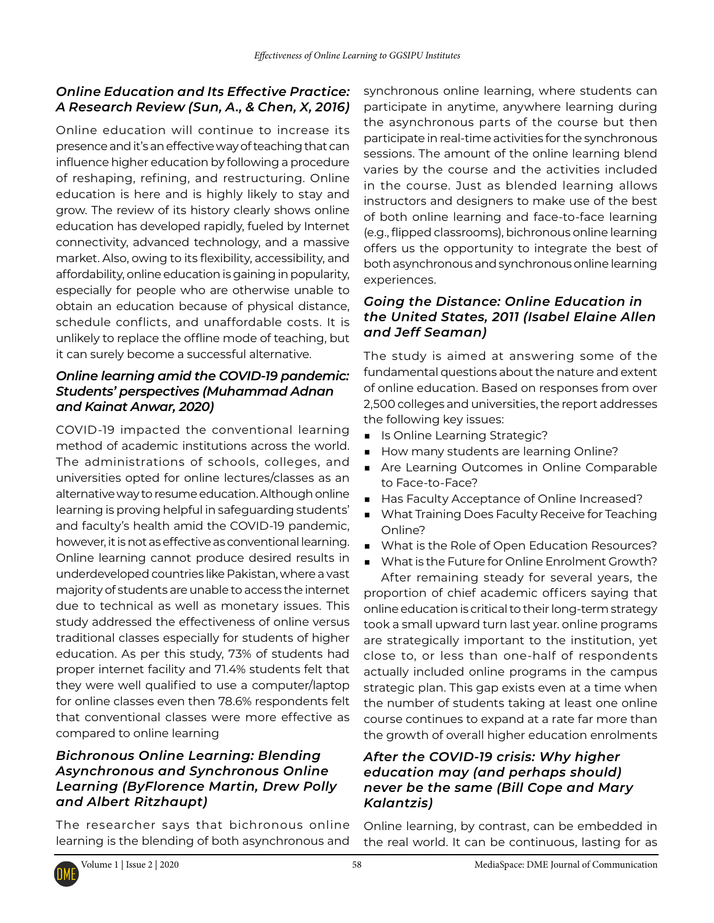### *Online Education and Its Effective Practice: A Research Review (Sun, A., & Chen, X, 2016)*

Online education will continue to increase its presence and it's an effective way of teaching that can influence higher education by following a procedure of reshaping, refining, and restructuring. Online education is here and is highly likely to stay and grow. The review of its history clearly shows online education has developed rapidly, fueled by Internet connectivity, advanced technology, and a massive market. Also, owing to its flexibility, accessibility, and affordability, online education is gaining in popularity, especially for people who are otherwise unable to obtain an education because of physical distance, schedule conflicts, and unaffordable costs. It is unlikely to replace the offline mode of teaching, but it can surely become a successful alternative.

### *Online learning amid the COVID-19 pandemic: Students' perspectives (Muhammad Adnan and Kainat Anwar, 2020)*

COVID-19 impacted the conventional learning method of academic institutions across the world. The administrations of schools, colleges, and universities opted for online lectures/classes as an alternative way to resume education. Although online learning is proving helpful in safeguarding students' and faculty's health amid the COVID-19 pandemic, however, it is not as effective as conventional learning. Online learning cannot produce desired results in underdeveloped countries like Pakistan, where a vast majority of students are unable to access the internet due to technical as well as monetary issues. This study addressed the effectiveness of online versus traditional classes especially for students of higher education. As per this study, 73% of students had proper internet facility and 71.4% students felt that they were well qualified to use a computer/laptop for online classes even then 78.6% respondents felt that conventional classes were more effective as compared to online learning

#### *Bichronous Online Learning: Blending Asynchronous and Synchronous Online Learning (By[Florence Martin,](https://members.educause.edu/florence-martin) [Drew Polly](https://members.educause.edu/drew-polly) and Albert Ritzhaupt)*

The researcher says that bichronous online learning is the blending of both asynchronous and synchronous online learning, where students can participate in anytime, anywhere learning during the asynchronous parts of the course but then participate in real-time activities for the synchronous sessions. The amount of the online learning blend varies by the course and the activities included in the course. Just as blended learning allows instructors and designers to make use of the best of both online learning and face-to-face learning (e.g., flipped classrooms), bichronous online learning offers us the opportunity to integrate the best of both asynchronous and synchronous online learning experiences.

#### *Going the Distance: Online Education in the United States, 2011 (Isabel Elaine Allen and Jeff Seaman)*

The study is aimed at answering some of the fundamental questions about the nature and extent of online education. Based on responses from over 2,500 colleges and universities, the report addresses the following key issues:

- Is Online Learning Strategic?
- How many students are learning Online?
- Are Learning Outcomes in Online Comparable to Face-to-Face?
- Has Faculty Acceptance of Online Increased?
- What Training Does Faculty Receive for Teaching Online?
- What is the Role of Open Education Resources?
- What is the Future for Online Enrolment Growth? After remaining steady for several years, the proportion of chief academic officers saying that

online education is critical to their long-term strategy took a small upward turn last year. online programs are strategically important to the institution, yet close to, or less than one-half of respondents actually included online programs in the campus strategic plan. This gap exists even at a time when the number of students taking at least one online course continues to expand at a rate far more than the growth of overall higher education enrolments

#### *After the COVID-19 crisis: Why higher education may (and perhaps should) never be the same (Bill Cope and Mary Kalantzis)*

Online learning, by contrast, can be embedded in the real world. It can be continuous, lasting for as

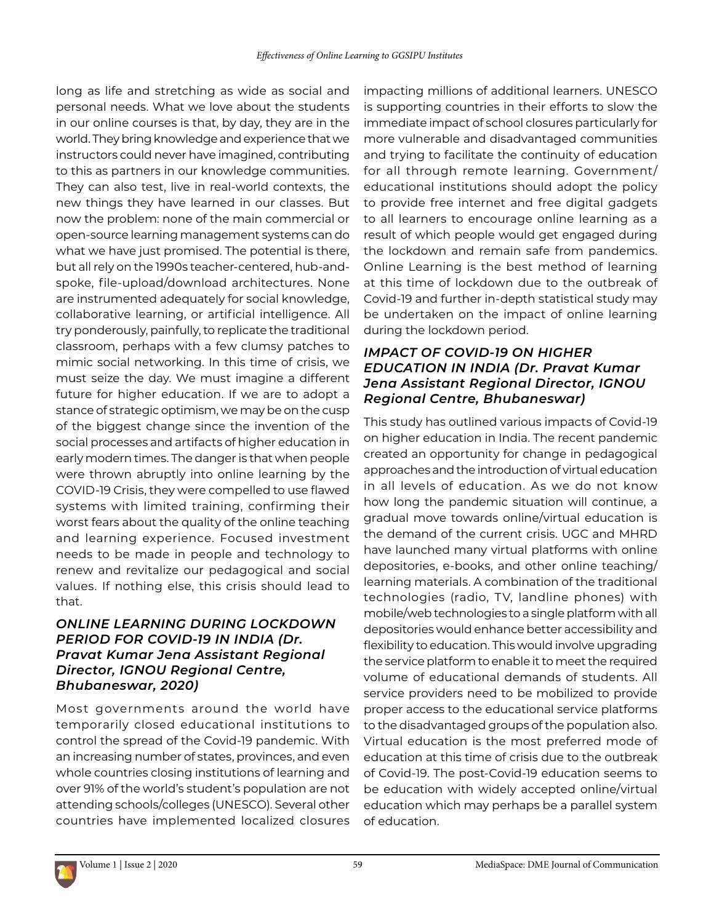long as life and stretching as wide as social and personal needs. What we love about the students in our online courses is that, by day, they are in the world. They bring knowledge and experience that we instructors could never have imagined, contributing to this as partners in our knowledge communities. They can also test, live in real-world contexts, the new things they have learned in our classes. But now the problem: none of the main commercial or open-source learning management systems can do what we have just promised. The potential is there, but all rely on the 1990s teacher-centered, hub-andspoke, file-upload/download architectures. None are instrumented adequately for social knowledge, collaborative learning, or artificial intelligence. All try ponderously, painfully, to replicate the traditional classroom, perhaps with a few clumsy patches to mimic social networking. In this time of crisis, we must seize the day. We must imagine a different future for higher education. If we are to adopt a stance of strategic optimism, we may be on the cusp of the biggest change since the invention of the social processes and artifacts of higher education in early modern times. The danger is that when people were thrown abruptly into online learning by the COVID-19 Crisis, they were compelled to use flawed systems with limited training, confirming their worst fears about the quality of the online teaching and learning experience. Focused investment needs to be made in people and technology to renew and revitalize our pedagogical and social values. If nothing else, this crisis should lead to that.

#### *ONLINE LEARNING DURING LOCKDOWN PERIOD FOR COVID-19 IN INDIA (Dr. Pravat Kumar Jena Assistant Regional Director, IGNOU Regional Centre, Bhubaneswar, 2020)*

Most governments around the world have temporarily closed educational institutions to control the spread of the Covid-19 pandemic. With an increasing number of states, provinces, and even whole countries closing institutions of learning and over 91% of the world's student's population are not attending schools/colleges (UNESCO). Several other countries have implemented localized closures

impacting millions of additional learners. UNESCO is supporting countries in their efforts to slow the immediate impact of school closures particularly for more vulnerable and disadvantaged communities and trying to facilitate the continuity of education for all through remote learning. Government/ educational institutions should adopt the policy to provide free internet and free digital gadgets to all learners to encourage online learning as a result of which people would get engaged during the lockdown and remain safe from pandemics. Online Learning is the best method of learning at this time of lockdown due to the outbreak of Covid-19 and further in-depth statistical study may be undertaken on the impact of online learning during the lockdown period.

#### *IMPACT OF COVID-19 ON HIGHER EDUCATION IN INDIA (Dr. Pravat Kumar Jena Assistant Regional Director, IGNOU Regional Centre, Bhubaneswar)*

This study has outlined various impacts of Covid-19 on higher education in India. The recent pandemic created an opportunity for change in pedagogical approaches and the introduction of virtual education in all levels of education. As we do not know how long the pandemic situation will continue, a gradual move towards online/virtual education is the demand of the current crisis. UGC and MHRD have launched many virtual platforms with online depositories, e-books, and other online teaching/ learning materials. A combination of the traditional technologies (radio, TV, landline phones) with mobile/web technologies to a single platform with all depositories would enhance better accessibility and flexibility to education. This would involve upgrading the service platform to enable it to meet the required volume of educational demands of students. All service providers need to be mobilized to provide proper access to the educational service platforms to the disadvantaged groups of the population also. Virtual education is the most preferred mode of education at this time of crisis due to the outbreak of Covid-19. The post-Covid-19 education seems to be education with widely accepted online/virtual education which may perhaps be a parallel system of education.

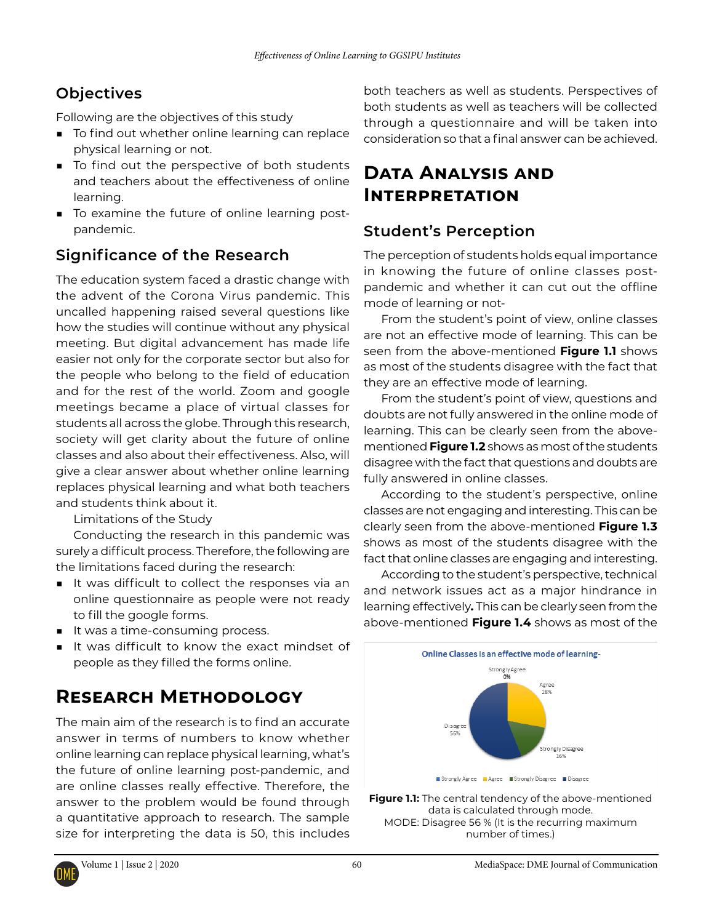# **Objectives**

Following are the objectives of this study

- To find out whether online learning can replace physical learning or not.
- To find out the perspective of both students and teachers about the effectiveness of online learning.
- To examine the future of online learning postpandemic.

# **Significance of the Research**

The education system faced a drastic change with the advent of the Corona Virus pandemic. This uncalled happening raised several questions like how the studies will continue without any physical meeting. But digital advancement has made life easier not only for the corporate sector but also for the people who belong to the field of education and for the rest of the world. Zoom and google meetings became a place of virtual classes for students all across the globe. Through this research, society will get clarity about the future of online classes and also about their effectiveness. Also, will give a clear answer about whether online learning replaces physical learning and what both teachers and students think about it.

Limitations of the Study

Conducting the research in this pandemic was surely a difficult process. Therefore, the following are the limitations faced during the research:

- It was difficult to collect the responses via an online questionnaire as people were not ready to fill the google forms.
- It was a time-consuming process.
- It was difficult to know the exact mindset of people as they filled the forms online.

# **Research Methodology**

The main aim of the research is to find an accurate answer in terms of numbers to know whether online learning can replace physical learning, what's the future of online learning post-pandemic, and are online classes really effective. Therefore, the answer to the problem would be found through a quantitative approach to research. The sample size for interpreting the data is 50, this includes both teachers as well as students. Perspectives of both students as well as teachers will be collected through a questionnaire and will be taken into consideration so that a final answer can be achieved.

# **Data Analysis and Interpretation**

## **Student's Perception**

The perception of students holds equal importance in knowing the future of online classes postpandemic and whether it can cut out the offline mode of learning or not-

From the student's point of view, online classes are not an effective mode of learning. This can be seen from the above-mentioned **Figure 1.1** shows as most of the students disagree with the fact that they are an effective mode of learning.

From the student's point of view, questions and doubts are not fully answered in the online mode of learning. This can be clearly seen from the abovementioned **Figure 1.2** shows as most of the students disagree with the fact that questions and doubts are fully answered in online classes.

According to the student's perspective, online classes are not engaging and interesting. This can be clearly seen from the above-mentioned **Figure 1.3**  shows as most of the students disagree with the fact that online classes are engaging and interesting.

According to the student's perspective, technical and network issues act as a major hindrance in learning effectively**.** This can be clearly seen from the above-mentioned **Figure 1.4** shows as most of the



**Figure 1.1:** The central tendency of the above-mentioned data is calculated through mode. MODE: Disagree 56 % (It is the recurring maximum number of times.)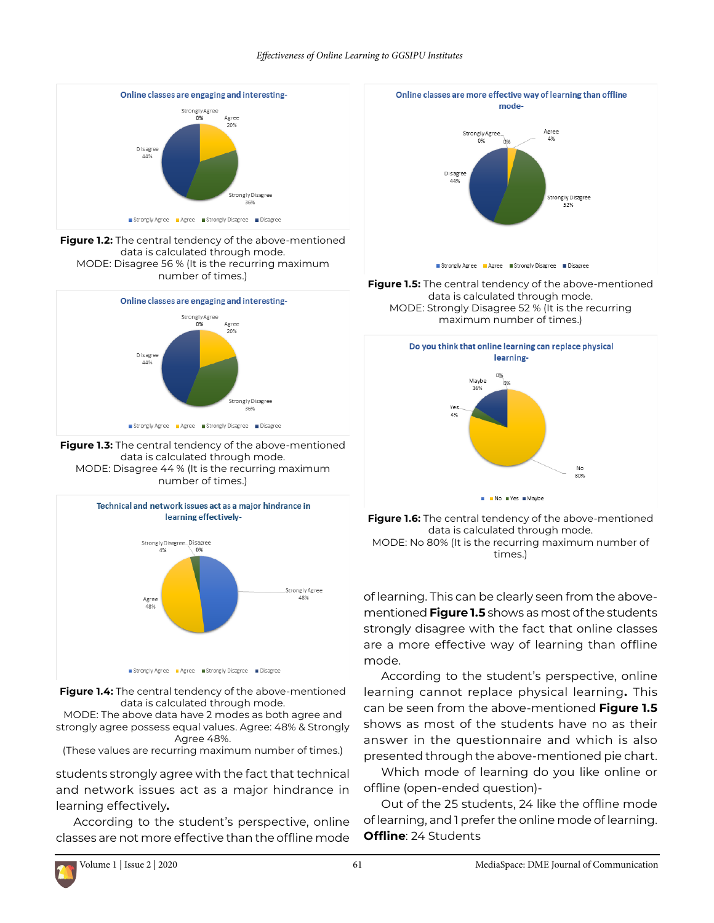#### *Effectiveness of Online Learning to GGSIPU Institutes*



**Figure 1.2:** The central tendency of the above-mentioned data is calculated through mode. MODE: Disagree 56 % (It is the recurring maximum number of times.)



**Figure 1.3:** The central tendency of the above-mentioned data is calculated through mode. MODE: Disagree 44 % (It is the recurring maximum number of times.)



**Figure 1.4:** The central tendency of the above-mentioned data is calculated through mode.

MODE: The above data have 2 modes as both agree and strongly agree possess equal values. Agree: 48% & Strongly Agree 48%.

(These values are recurring maximum number of times.)

students strongly agree with the fact that technical and network issues act as a major hindrance in learning effectively**.**

According to the student's perspective, online classes are not more effective than the offline mode



**Figure 1.5:** The central tendency of the above-mentioned data is calculated through mode. MODE: Strongly Disagree 52 % (It is the recurring maximum number of times.)





of learning. This can be clearly seen from the abovementioned **Figure 1.5** shows as most of the students strongly disagree with the fact that online classes are a more effective way of learning than offline mode.

According to the student's perspective, online learning cannot replace physical learning**.** This can be seen from the above-mentioned **Figure 1.5**  shows as most of the students have no as their answer in the questionnaire and which is also presented through the above-mentioned pie chart.

Which mode of learning do you like online or offline (open-ended question)-

Out of the 25 students, 24 like the offline mode of learning, and 1 prefer the online mode of learning. **Offline**: 24 Students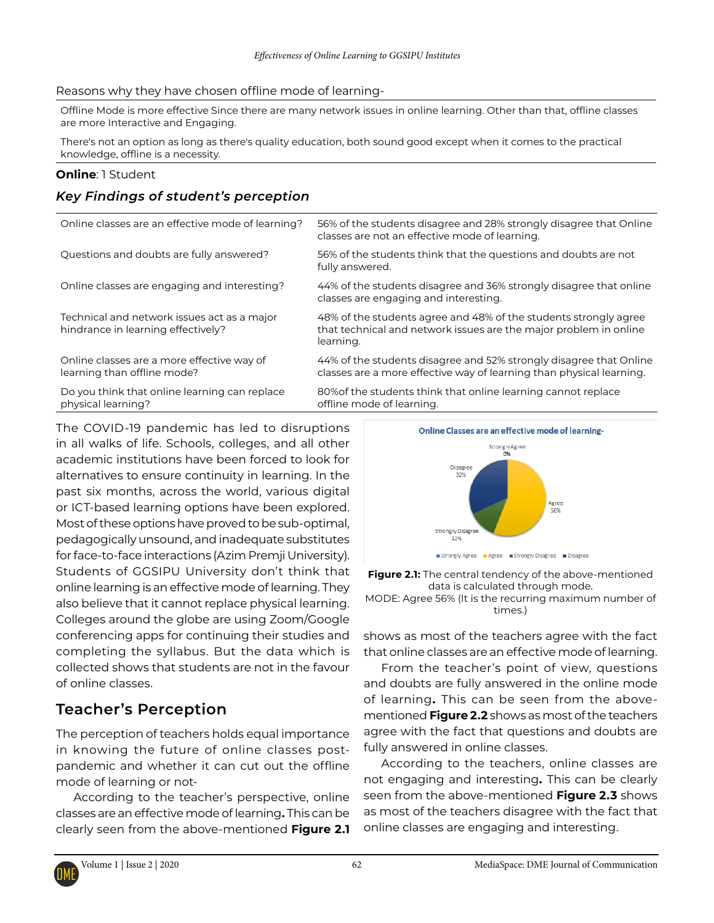#### Reasons why they have chosen offline mode of learning-

Offline Mode is more effective Since there are many network issues in online learning. Other than that, offline classes are more Interactive and Engaging.

There's not an option as long as there's quality education, both sound good except when it comes to the practical knowledge, offline is a necessity.

#### **Online**: 1 Student

### *Key Findings of student's perception*

| Online classes are an effective mode of learning?                                 | 56% of the students disagree and 28% strongly disagree that Online<br>classes are not an effective mode of learning.                               |
|-----------------------------------------------------------------------------------|----------------------------------------------------------------------------------------------------------------------------------------------------|
| Questions and doubts are fully answered?                                          | 56% of the students think that the questions and doubts are not<br>fully answered.                                                                 |
| Online classes are engaging and interesting?                                      | 44% of the students disagree and 36% strongly disagree that online<br>classes are engaging and interesting.                                        |
| Technical and network issues act as a major<br>hindrance in learning effectively? | 48% of the students agree and 48% of the students strongly agree<br>that technical and network issues are the major problem in online<br>learning. |
| Online classes are a more effective way of<br>learning than offline mode?         | 44% of the students disagree and 52% strongly disagree that Online<br>classes are a more effective way of learning than physical learning.         |
| Do you think that online learning can replace<br>physical learning?               | 80% of the students think that online learning cannot replace<br>offline mode of learning.                                                         |

The COVID-19 pandemic has led to disruptions in all walks of life. Schools, colleges, and all other academic institutions have been forced to look for alternatives to ensure continuity in learning. In the past six months, across the world, various digital or ICT-based learning options have been explored. Most of these options have proved to be sub-optimal, pedagogically unsound, and inadequate substitutes for face-to-face interactions (Azim Premji University). Students of GGSIPU University don't think that online learning is an effective mode of learning. They also believe that it cannot replace physical learning. Colleges around the globe are using Zoom/Google conferencing apps for continuing their studies and completing the syllabus. But the data which is collected shows that students are not in the favour of online classes.

## **Teacher's Perception**

The perception of teachers holds equal importance in knowing the future of online classes postpandemic and whether it can cut out the offline mode of learning or not-

According to the teacher's perspective, online classes are an effective mode of learning**.** This can be clearly seen from the above-mentioned **Figure 2.1** 



**Figure 2.1:** The central tendency of the above-mentioned data is calculated through mode. MODE: Agree 56% (It is the recurring maximum number of times.)

shows as most of the teachers agree with the fact that online classes are an effective mode of learning.

From the teacher's point of view, questions and doubts are fully answered in the online mode of learning**.** This can be seen from the abovementioned **Figure 2.2** shows as most of the teachers agree with the fact that questions and doubts are fully answered in online classes.

According to the teachers, online classes are not engaging and interesting**.** This can be clearly seen from the above-mentioned **Figure 2.3** shows as most of the teachers disagree with the fact that online classes are engaging and interesting.

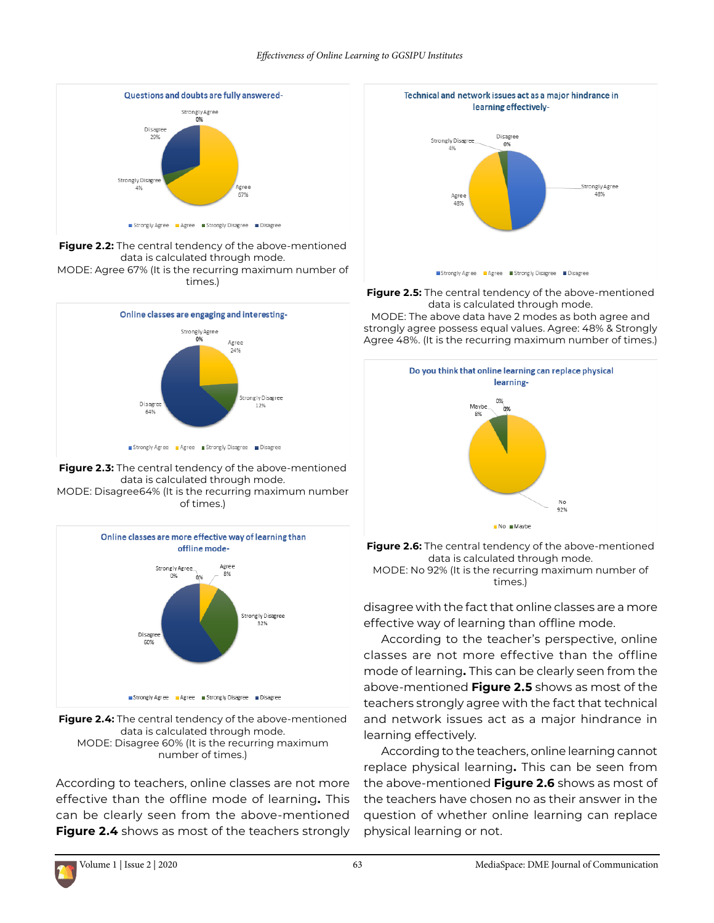

**Figure 2.2:** The central tendency of the above-mentioned data is calculated through mode. MODE: Agree 67% (It is the recurring maximum number of times.)







**Figure 2.4:** The central tendency of the above-mentioned data is calculated through mode. MODE: Disagree 60% (It is the recurring maximum number of times.)

According to teachers, online classes are not more effective than the offline mode of learning**.** This can be clearly seen from the above-mentioned **Figure 2.4** shows as most of the teachers strongly



**Figure 2.5:** The central tendency of the above-mentioned data is calculated through mode. MODE: The above data have 2 modes as both agree and strongly agree possess equal values. Agree: 48% & Strongly Agree 48%. (It is the recurring maximum number of times.)



**Figure 2.6:** The central tendency of the above-mentioned data is calculated through mode. MODE: No 92% (It is the recurring maximum number of times.)

disagree with the fact that online classes are a more effective way of learning than offline mode.

According to the teacher's perspective, online classes are not more effective than the offline mode of learning**.** This can be clearly seen from the above-mentioned **Figure 2.5** shows as most of the teachers strongly agree with the fact that technical and network issues act as a major hindrance in learning effectively.

According to the teachers, online learning cannot replace physical learning**.** This can be seen from the above-mentioned **Figure 2.6** shows as most of the teachers have chosen no as their answer in the question of whether online learning can replace physical learning or not.

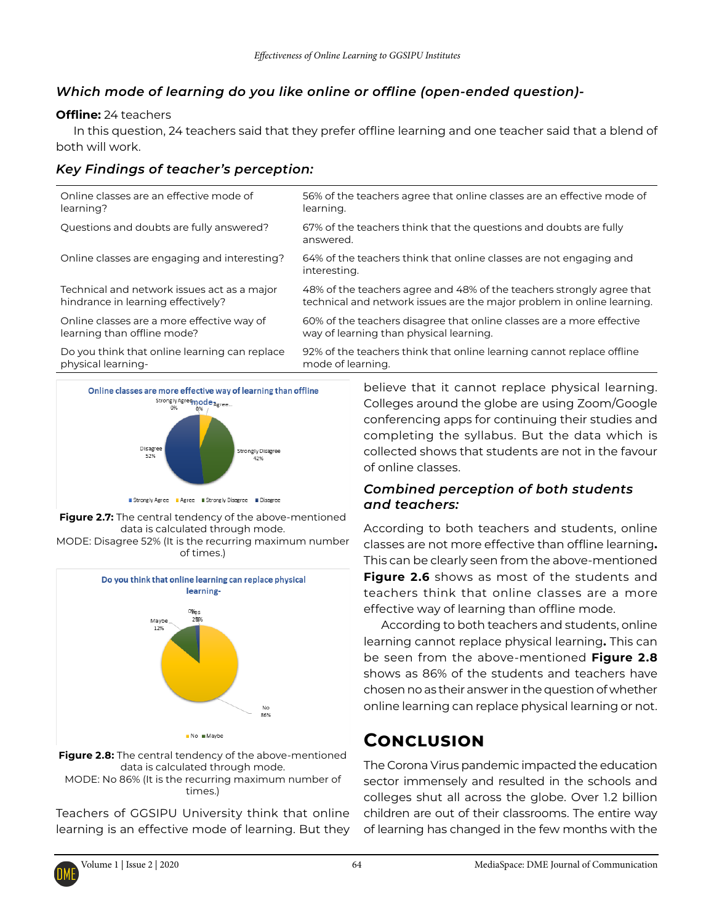## *Which mode of learning do you like online or offline (open-ended question)-*

#### **Offline:** 24 teachers

In this question, 24 teachers said that they prefer offline learning and one teacher said that a blend of both will work.

## *Key Findings of teacher's perception:*

| Do you think that online learning can replace | 92% of the teachers think that online learning cannot replace offline              |
|-----------------------------------------------|------------------------------------------------------------------------------------|
| physical learning-                            | mode of learning.                                                                  |
| Online classes are a more effective way of    | 60% of the teachers disagree that online classes are a more effective              |
| learning than offline mode?                   | way of learning than physical learning.                                            |
| Technical and network issues act as a major   | 48% of the teachers agree and 48% of the teachers strongly agree that              |
| hindrance in learning effectively?            | technical and network issues are the major problem in online learning.             |
| Online classes are engaging and interesting?  | 64% of the teachers think that online classes are not engaging and<br>interesting. |
| Questions and doubts are fully answered?      | 67% of the teachers think that the questions and doubts are fully<br>answered.     |
| Online classes are an effective mode of       | 56% of the teachers agree that online classes are an effective mode of             |
| learning?                                     | learning.                                                                          |







**Figure 2.8:** The central tendency of the above-mentioned data is calculated through mode. MODE: No 86% (It is the recurring maximum number of times.)

Teachers of GGSIPU University think that online learning is an effective mode of learning. But they believe that it cannot replace physical learning. Colleges around the globe are using Zoom/Google conferencing apps for continuing their studies and completing the syllabus. But the data which is collected shows that students are not in the favour of online classes.

#### *Combined perception of both students and teachers:*

According to both teachers and students, online classes are not more effective than offline learning**.**  This can be clearly seen from the above-mentioned **Figure 2.6** shows as most of the students and teachers think that online classes are a more effective way of learning than offline mode.

According to both teachers and students, online learning cannot replace physical learning**.** This can be seen from the above-mentioned **Figure 2.8**  shows as 86% of the students and teachers have chosen no as their answer in the question of whether online learning can replace physical learning or not.

# **Conclusion**

The Corona Virus pandemic impacted the education sector immensely and resulted in the schools and colleges shut all across the globe. Over 1.2 billion children are out of their classrooms. The entire way of learning has changed in the few months with the